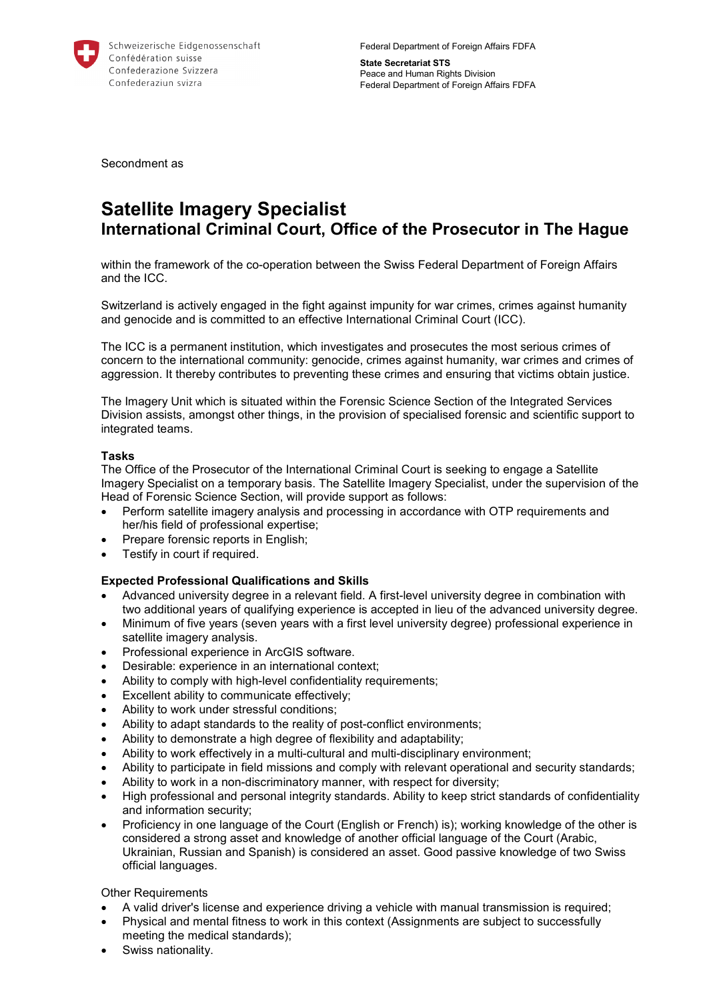

Federal Department of Foreign Affairs FDFA

**State Secretariat STS**  Peace and Human Rights Division Federal Department of Foreign Affairs FDFA

Secondment as

# **Satellite Imagery Specialist International Criminal Court, Office of the Prosecutor in The Hague**

within the framework of the co-operation between the Swiss Federal Department of Foreign Affairs and the ICC.

Switzerland is actively engaged in the fight against impunity for war crimes, crimes against humanity and genocide and is committed to an effective International Criminal Court (ICC).

The ICC is a permanent institution, which investigates and prosecutes the most serious crimes of concern to the international community: genocide, crimes against humanity, war crimes and crimes of aggression. It thereby contributes to preventing these crimes and ensuring that victims obtain justice.

The Imagery Unit which is situated within the Forensic Science Section of the Integrated Services Division assists, amongst other things, in the provision of specialised forensic and scientific support to integrated teams.

# **Tasks**

The Office of the Prosecutor of the International Criminal Court is seeking to engage a Satellite Imagery Specialist on a temporary basis. The Satellite Imagery Specialist, under the supervision of the Head of Forensic Science Section, will provide support as follows:

- Perform satellite imagery analysis and processing in accordance with OTP requirements and her/his field of professional expertise;
- Prepare forensic reports in English;
- Testify in court if required.

# **Expected Professional Qualifications and Skills**

- Advanced university degree in a relevant field. A first-level university degree in combination with two additional years of qualifying experience is accepted in lieu of the advanced university degree.
- Minimum of five years (seven years with a first level university degree) professional experience in satellite imagery analysis.
- Professional experience in ArcGIS software.
- Desirable: experience in an international context;
- Ability to comply with high-level confidentiality requirements;
- Excellent ability to communicate effectively;
- Ability to work under stressful conditions;
- Ability to adapt standards to the reality of post-conflict environments;
- Ability to demonstrate a high degree of flexibility and adaptability;
- Ability to work effectively in a multi-cultural and multi-disciplinary environment;
- Ability to participate in field missions and comply with relevant operational and security standards;
- Ability to work in a non-discriminatory manner, with respect for diversity;
- High professional and personal integrity standards. Ability to keep strict standards of confidentiality and information security;
- Proficiency in one language of the Court (English or French) is); working knowledge of the other is considered a strong asset and knowledge of another official language of the Court (Arabic, Ukrainian, Russian and Spanish) is considered an asset. Good passive knowledge of two Swiss official languages.

Other Requirements

- A valid driver's license and experience driving a vehicle with manual transmission is required;
- Physical and mental fitness to work in this context (Assignments are subject to successfully meeting the medical standards);
- Swiss nationality.